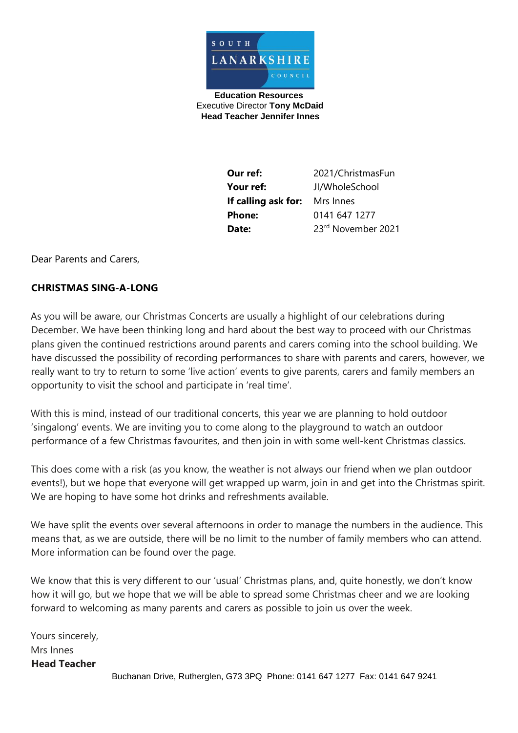

**Education Resources**  Executive Director **Tony McDaid Head Teacher Jennifer Innes** 

> **Our ref:** 2021/ChristmasFun **Your ref:** JI/WholeSchool **If calling ask for:** Mrs Innes **Phone:** 0141 647 1277 **Date:** 23rd November 2021

Dear Parents and Carers,

## **CHRISTMAS SING-A-LONG**

As you will be aware, our Christmas Concerts are usually a highlight of our celebrations during December. We have been thinking long and hard about the best way to proceed with our Christmas plans given the continued restrictions around parents and carers coming into the school building. We have discussed the possibility of recording performances to share with parents and carers, however, we really want to try to return to some 'live action' events to give parents, carers and family members an opportunity to visit the school and participate in 'real time'.

With this is mind, instead of our traditional concerts, this year we are planning to hold outdoor 'singalong' events. We are inviting you to come along to the playground to watch an outdoor performance of a few Christmas favourites, and then join in with some well-kent Christmas classics.

This does come with a risk (as you know, the weather is not always our friend when we plan outdoor events!), but we hope that everyone will get wrapped up warm, join in and get into the Christmas spirit. We are hoping to have some hot drinks and refreshments available.

We have split the events over several afternoons in order to manage the numbers in the audience. This means that, as we are outside, there will be no limit to the number of family members who can attend. More information can be found over the page.

We know that this is very different to our 'usual' Christmas plans, and, quite honestly, we don't know how it will go, but we hope that we will be able to spread some Christmas cheer and we are looking forward to welcoming as many parents and carers as possible to join us over the week.

Yours sincerely, Mrs Innes **Head Teacher**  Buchanan Drive, Rutherglen, G73 3PQ Phone: 0141 647 1277 Fax: 0141 647 9241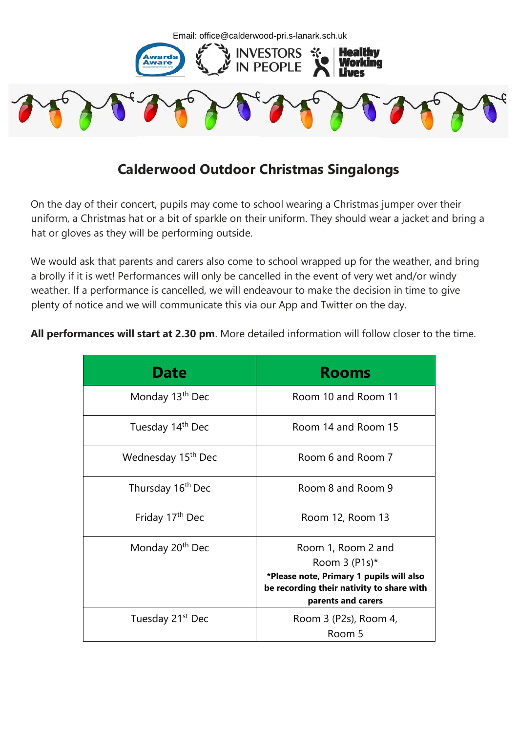

## **Calderwood Outdoor Christmas Singalongs**

On the day of their concert, pupils may come to school wearing a Christmas jumper over their uniform, a Christmas hat or a bit of sparkle on their uniform. They should wear a jacket and bring a hat or gloves as they will be performing outside.

We would ask that parents and carers also come to school wrapped up for the weather, and bring a brolly if it is wet! Performances will only be cancelled in the event of very wet and/or windy weather. If a performance is cancelled, we will endeavour to make the decision in time to give plenty of notice and we will communicate this via our App and Twitter on the day.

**All performances will start at 2.30 pm**. More detailed information will follow closer to the time.

| <b>Date</b>                    | <b>Rooms</b>                                                                                                                                                     |
|--------------------------------|------------------------------------------------------------------------------------------------------------------------------------------------------------------|
| Monday 13 <sup>th</sup> Dec    | Room 10 and Room 11                                                                                                                                              |
| Tuesday 14th Dec               | Room 14 and Room 15                                                                                                                                              |
| Wednesday 15 <sup>th</sup> Dec | Room 6 and Room 7                                                                                                                                                |
| Thursday 16 <sup>th</sup> Dec  | Room 8 and Room 9                                                                                                                                                |
| Friday 17 <sup>th</sup> Dec    | Room 12, Room 13                                                                                                                                                 |
| Monday 20 <sup>th</sup> Dec    | Room 1, Room 2 and<br>Room $3$ (P1s) <sup>*</sup><br>*Please note, Primary 1 pupils will also<br>be recording their nativity to share with<br>parents and carers |
| Tuesday 21 <sup>st</sup> Dec   | Room 3 (P2s), Room 4,<br>Room 5                                                                                                                                  |